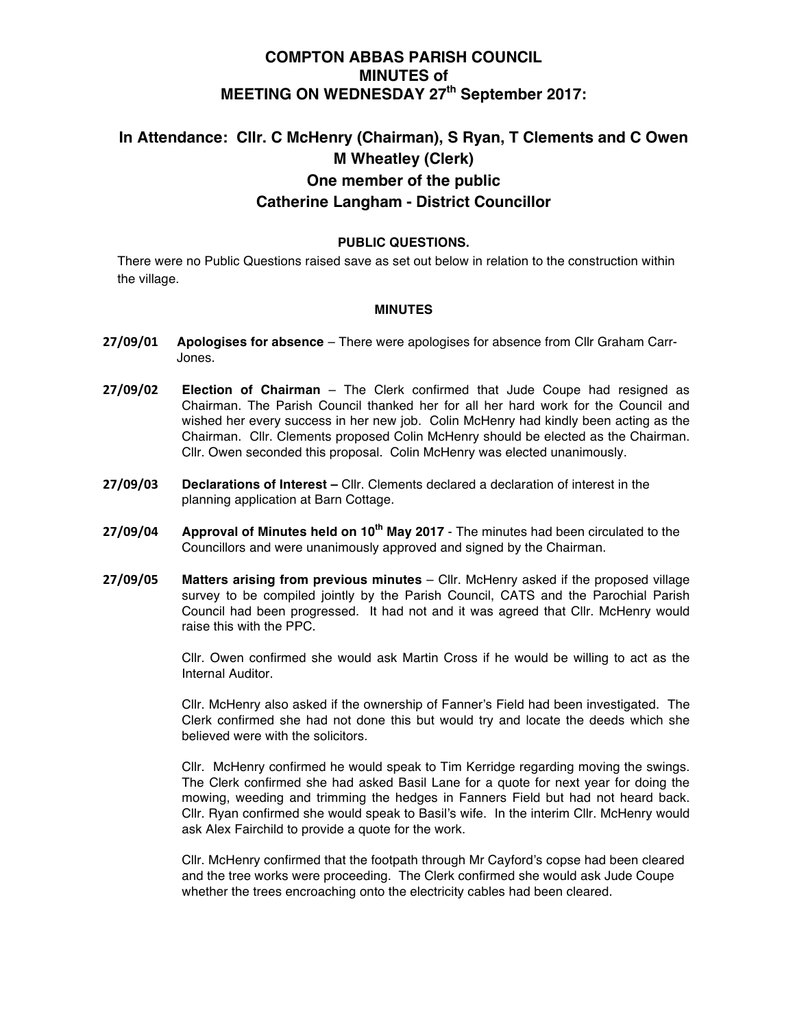# **COMPTON ABBAS PARISH COUNCIL MINUTES of MEETING ON WEDNESDAY 27th September 2017:**

# **In Attendance: Cllr. C McHenry (Chairman), S Ryan, T Clements and C Owen M Wheatley (Clerk) One member of the public Catherine Langham - District Councillor**

## **PUBLIC QUESTIONS.**

There were no Public Questions raised save as set out below in relation to the construction within the village.

### **MINUTES**

- **27/09/01 Apologises for absence**  There were apologises for absence from Cllr Graham Carr-Jones.
- **27/09/02 Election of Chairman** The Clerk confirmed that Jude Coupe had resigned as Chairman. The Parish Council thanked her for all her hard work for the Council and wished her every success in her new job. Colin McHenry had kindly been acting as the Chairman. Cllr. Clements proposed Colin McHenry should be elected as the Chairman. Cllr. Owen seconded this proposal. Colin McHenry was elected unanimously.
- **27/09/03 Declarations of Interest –** Cllr. Clements declared a declaration of interest in the planning application at Barn Cottage.
- **27/09/04 Approval of Minutes held on 10th May 2017** The minutes had been circulated to the Councillors and were unanimously approved and signed by the Chairman.
- **27/09/05 Matters arising from previous minutes** Cllr. McHenry asked if the proposed village survey to be compiled jointly by the Parish Council, CATS and the Parochial Parish Council had been progressed. It had not and it was agreed that Cllr. McHenry would raise this with the PPC.

Cllr. Owen confirmed she would ask Martin Cross if he would be willing to act as the Internal Auditor.

Cllr. McHenry also asked if the ownership of Fanner's Field had been investigated. The Clerk confirmed she had not done this but would try and locate the deeds which she believed were with the solicitors.

Cllr. McHenry confirmed he would speak to Tim Kerridge regarding moving the swings. The Clerk confirmed she had asked Basil Lane for a quote for next year for doing the mowing, weeding and trimming the hedges in Fanners Field but had not heard back. Cllr. Ryan confirmed she would speak to Basil's wife. In the interim Cllr. McHenry would ask Alex Fairchild to provide a quote for the work.

Cllr. McHenry confirmed that the footpath through Mr Cayford's copse had been cleared and the tree works were proceeding. The Clerk confirmed she would ask Jude Coupe whether the trees encroaching onto the electricity cables had been cleared.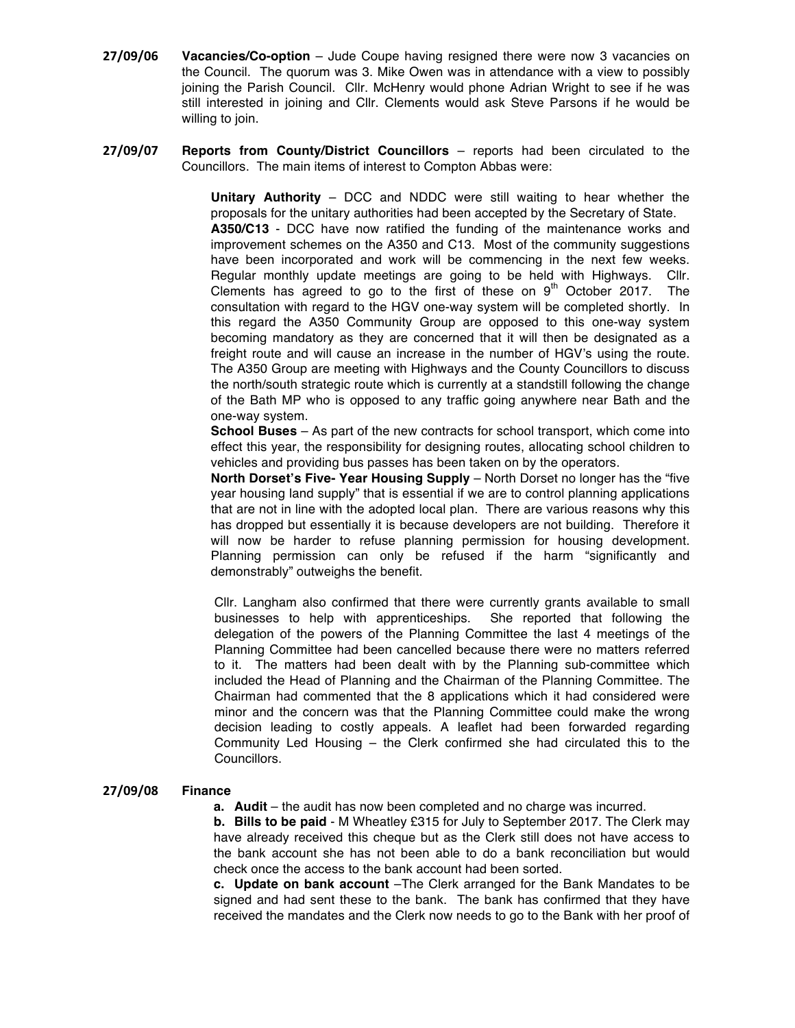- **27/09/06 Vacancies/Co-option** Jude Coupe having resigned there were now 3 vacancies on the Council. The quorum was 3. Mike Owen was in attendance with a view to possibly joining the Parish Council. Cllr. McHenry would phone Adrian Wright to see if he was still interested in joining and Cllr. Clements would ask Steve Parsons if he would be willing to join.
- **27/09/07 Reports from County/District Councillors**  reports had been circulated to the Councillors. The main items of interest to Compton Abbas were:

**Unitary Authority** – DCC and NDDC were still waiting to hear whether the proposals for the unitary authorities had been accepted by the Secretary of State. **A350/C13** - DCC have now ratified the funding of the maintenance works and improvement schemes on the A350 and C13. Most of the community suggestions have been incorporated and work will be commencing in the next few weeks. Regular monthly update meetings are going to be held with Highways. Cllr. Clements has agreed to go to the first of these on  $9<sup>th</sup>$  October 2017. The consultation with regard to the HGV one-way system will be completed shortly. In this regard the A350 Community Group are opposed to this one-way system becoming mandatory as they are concerned that it will then be designated as a freight route and will cause an increase in the number of HGV's using the route. The A350 Group are meeting with Highways and the County Councillors to discuss the north/south strategic route which is currently at a standstill following the change of the Bath MP who is opposed to any traffic going anywhere near Bath and the one-way system.

**School Buses** – As part of the new contracts for school transport, which come into effect this year, the responsibility for designing routes, allocating school children to vehicles and providing bus passes has been taken on by the operators.

**North Dorset's Five- Year Housing Supply** – North Dorset no longer has the "five year housing land supply" that is essential if we are to control planning applications that are not in line with the adopted local plan. There are various reasons why this has dropped but essentially it is because developers are not building. Therefore it will now be harder to refuse planning permission for housing development. Planning permission can only be refused if the harm "significantly and demonstrably" outweighs the benefit.

Cllr. Langham also confirmed that there were currently grants available to small businesses to help with apprenticeships. She reported that following the delegation of the powers of the Planning Committee the last 4 meetings of the Planning Committee had been cancelled because there were no matters referred to it. The matters had been dealt with by the Planning sub-committee which included the Head of Planning and the Chairman of the Planning Committee. The Chairman had commented that the 8 applications which it had considered were minor and the concern was that the Planning Committee could make the wrong decision leading to costly appeals. A leaflet had been forwarded regarding Community Led Housing – the Clerk confirmed she had circulated this to the Councillors.

#### **27/09/08 Finance**

**a.** Audit – the audit has now been completed and no charge was incurred.

**b. Bills to be paid** - M Wheatley £315 for July to September 2017. The Clerk may have already received this cheque but as the Clerk still does not have access to the bank account she has not been able to do a bank reconciliation but would check once the access to the bank account had been sorted.

**c. Update on bank account** –The Clerk arranged for the Bank Mandates to be signed and had sent these to the bank. The bank has confirmed that they have received the mandates and the Clerk now needs to go to the Bank with her proof of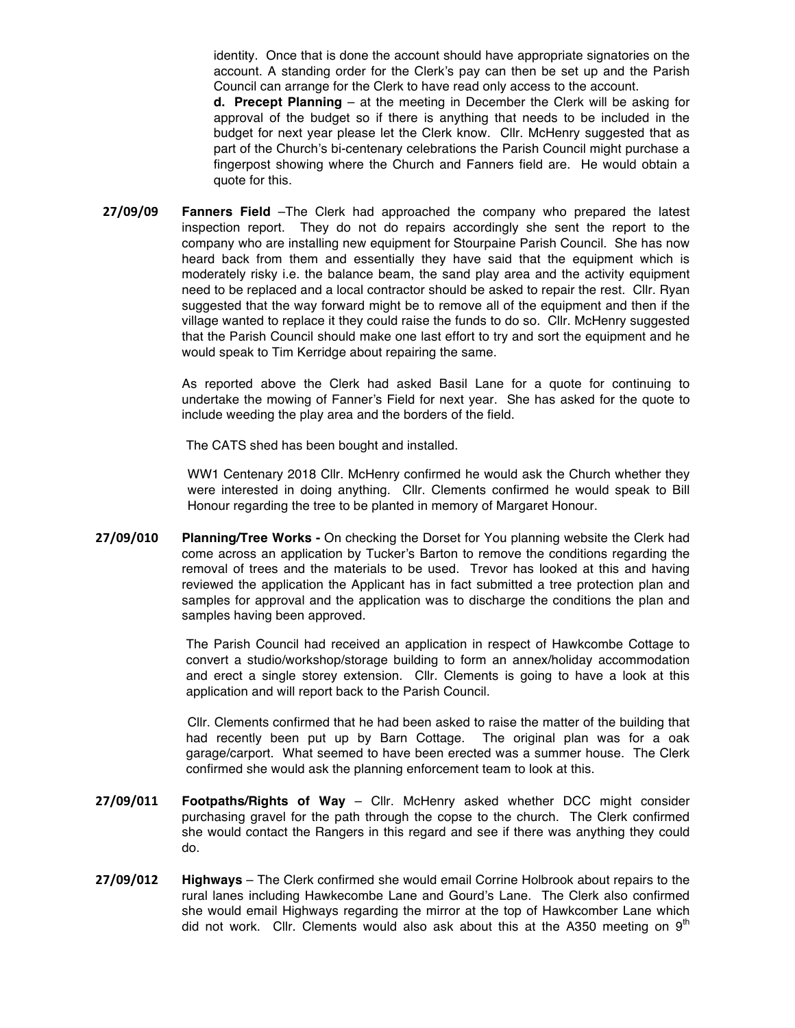identity. Once that is done the account should have appropriate signatories on the account. A standing order for the Clerk's pay can then be set up and the Parish Council can arrange for the Clerk to have read only access to the account.

**d. Precept Planning** – at the meeting in December the Clerk will be asking for approval of the budget so if there is anything that needs to be included in the budget for next year please let the Clerk know. Cllr. McHenry suggested that as part of the Church's bi-centenary celebrations the Parish Council might purchase a fingerpost showing where the Church and Fanners field are. He would obtain a quote for this.

**27/09/09 Fanners Field** –The Clerk had approached the company who prepared the latest inspection report. They do not do repairs accordingly she sent the report to the company who are installing new equipment for Stourpaine Parish Council. She has now heard back from them and essentially they have said that the equipment which is moderately risky i.e. the balance beam, the sand play area and the activity equipment need to be replaced and a local contractor should be asked to repair the rest. Cllr. Ryan suggested that the way forward might be to remove all of the equipment and then if the village wanted to replace it they could raise the funds to do so. Cllr. McHenry suggested that the Parish Council should make one last effort to try and sort the equipment and he would speak to Tim Kerridge about repairing the same.

> As reported above the Clerk had asked Basil Lane for a quote for continuing to undertake the mowing of Fanner's Field for next year. She has asked for the quote to include weeding the play area and the borders of the field.

The CATS shed has been bought and installed.

WW1 Centenary 2018 Cllr. McHenry confirmed he would ask the Church whether they were interested in doing anything. Cllr. Clements confirmed he would speak to Bill Honour regarding the tree to be planted in memory of Margaret Honour.

**27/09/010 Planning/Tree Works -** On checking the Dorset for You planning website the Clerk had come across an application by Tucker's Barton to remove the conditions regarding the removal of trees and the materials to be used. Trevor has looked at this and having reviewed the application the Applicant has in fact submitted a tree protection plan and samples for approval and the application was to discharge the conditions the plan and samples having been approved.

> The Parish Council had received an application in respect of Hawkcombe Cottage to convert a studio/workshop/storage building to form an annex/holiday accommodation and erect a single storey extension. Cllr. Clements is going to have a look at this application and will report back to the Parish Council.

> Cllr. Clements confirmed that he had been asked to raise the matter of the building that had recently been put up by Barn Cottage. The original plan was for a oak garage/carport. What seemed to have been erected was a summer house. The Clerk confirmed she would ask the planning enforcement team to look at this.

- **27/09/011 Footpaths/Rights of Way** Cllr. McHenry asked whether DCC might consider purchasing gravel for the path through the copse to the church. The Clerk confirmed she would contact the Rangers in this regard and see if there was anything they could do.
- **27/09/012 Highways** The Clerk confirmed she would email Corrine Holbrook about repairs to the rural lanes including Hawkecombe Lane and Gourd's Lane. The Clerk also confirmed she would email Highways regarding the mirror at the top of Hawkcomber Lane which did not work. Cllr. Clements would also ask about this at the A350 meeting on  $9<sup>th</sup>$